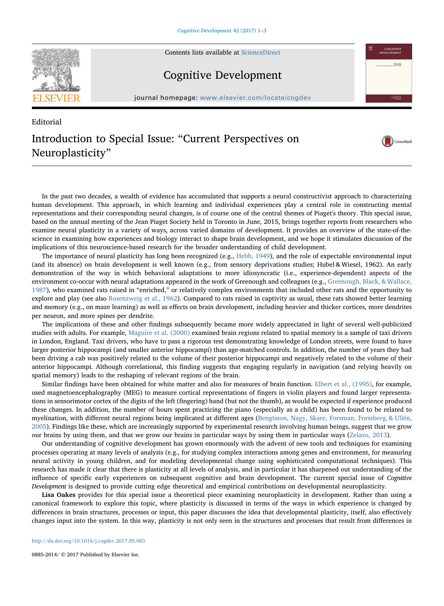

Contents lists available at [ScienceDirect](http://www.sciencedirect.com/science/journal/08852014)

## Cognitive Development

journal homepage: [www.elsevier.com/locate/cogdev](http://www.elsevier.com/locate/cogdev)

CrossMark

COGNITIVE **Editor In Chat**<br>Mark Kalifords

## **Editorial** Introduction to Special Issue: "Current Perspectives on Neuroplasticity"

In the past two decades, a wealth of evidence has accumulated that supports a neural constructivist approach to characterizing human development. This approach, in which learning and individual experiences play a central role in constructing mental representations and their corresponding neural changes, is of course one of the central themes of Piaget's theory. This special issue, based on the annual meeting of the Jean Piaget Society held in Toronto in June, 2015, brings together reports from researchers who examine neural plasticity in a variety of ways, across varied domains of development. It provides an overview of the state-of-thescience in examining how experiences and biology interact to shape brain development, and we hope it stimulates discussion of the implications of this neuroscience-based research for the broader understanding of child development.

The importance of neural plasticity has long been recognized (e.g., [Hebb, 1949](#page-2-0)), and the role of expectable environmental input (and its absence) on brain development is well known (e.g., from sensory deprivations studies; Hubel & Wiesel, 1962). An early demonstration of the way in which behavioral adaptations to more idiosyncratic (i.e., experience-dependent) aspects of the environment co-occur with neural adaptations appeared in the work of Greenough and colleagues (e.g., [Greenough, Black, & Wallace,](#page-2-1) [1987\)](#page-2-1), who examined rats raised in "enriched," or relatively complex environments that included other rats and the opportunity to explore and play (see also [Rosenzweig et al., 1962](#page-2-2)). Compared to rats raised in captivity as usual, these rats showed better learning and memory (e.g., on maze learning) as well as effects on brain development, including heavier and thicker cortices, more dendrites per neuron, and more spines per dendrite.

The implications of these and other findings subsequently became more widely appreciated in light of several well-publicized studies with adults. For example, [Maguire et al. \(2000\)](#page-2-3) examined brain regions related to spatial memory in a sample of taxi drivers in London, England. Taxi drivers, who have to pass a rigorous test demonstrating knowledge of London streets, were found to have larger posterior hippocampi (and smaller anterior hippocampi) than age-matched controls. In addition, the number of years they had been driving a cab was positively related to the volume of their posterior hippocampi and negatively related to the volume of their anterior hippocampi. Although correlational, this finding suggests that engaging regularly in navigation (and relying heavily on spatial memory) leads to the reshaping of relevant regions of the brain.

Similar findings have been obtained for white matter and also for measures of brain function. [Elbert et al., \(1995\)](#page-2-4), for example, used magnetoencephalography (MEG) to measure cortical representations of fingers in violin players and found larger representations in sensorimotor cortex of the digits of the left (fingering) hand (but not the thumb), as would be expected if experience produced these changes. In addition, the number of hours spent practicing the piano (especially as a child) has been found to be related to myelination, with different neural regions being implicated at different ages ([Bengtsson, Nagy, Skare, Forsman, Forssberg, & Ullén,](#page-2-5) [2005\)](#page-2-5). Findings like these, which are increasingly supported by experimental research involving human beings, suggest that we grow our brains by using them, and that we grow our brains in particular ways by using them in particular ways [\(Zelazo, 2013\)](#page-2-6).

Our understanding of cognitive development has grown enormously with the advent of new tools and techniques for examining processes operating at many levels of analysis (e.g., for studying complex interactions among genes and environment, for measuring neural activity in young children, and for modeling developmental change using sophisticated computational techniques). This research has made it clear that there is plasticity at all levels of analysis, and in particular it has sharpened out understanding of the influence of specific early experiences on subsequent cognitive and brain development. The current special issue of Cognitive Development is designed to provide cutting edge theoretical and empirical contributions on developmental neuroplasticity.

Lisa Oakes provides for this special issue a theoretical piece examining neuroplasticity in development. Rather than using a canonical framework to explore this topic, where plasticity is discussed in terms of the ways in which experience is changed by differences in brain structures, processes or input, this paper discusses the idea that developmental plasticity, itself, also effectively changes input into the system. In this way, plasticity is not only seen in the structures and processes that result from differences in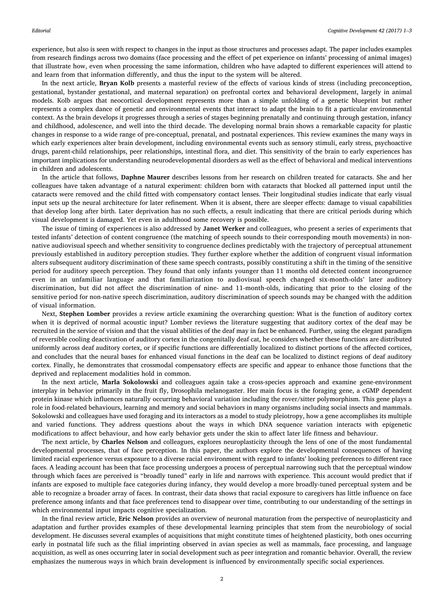experience, but also is seen with respect to changes in the input as those structures and processes adapt. The paper includes examples from research findings across two domains (face processing and the effect of pet experience on infants' processing of animal images) that illustrate how, even when processing the same information, children who have adapted to different experiences will attend to and learn from that information differently, and thus the input to the system will be altered.

In the next article, Bryan Kolb presents a masterful review of the effects of various kinds of stress (including preconception, gestational, bystander gestational, and maternal separation) on prefrontal cortex and behavioral development, largely in animal models. Kolb argues that neocortical development represents more than a simple unfolding of a genetic blueprint but rather represents a complex dance of genetic and environmental events that interact to adapt the brain to fit a particular environmental context. As the brain develops it progresses through a series of stages beginning prenatally and continuing through gestation, infancy and childhood, adolescence, and well into the third decade. The developing normal brain shows a remarkable capacity for plastic changes in response to a wide range of pre-conceptual, prenatal, and postnatal experiences. This review examines the many ways in which early experiences alter brain development, including environmental events such as sensory stimuli, early stress, psychoactive drugs, parent-child relationships, peer relationships, intestinal flora, and diet. This sensitivity of the brain to early experiences has important implications for understanding neurodevelopmental disorders as well as the effect of behavioral and medical interventions in children and adolescents.

In the article that follows, Daphne Maurer describes lessons from her research on children treated for cataracts. She and her colleagues have taken advantage of a natural experiment: children born with cataracts that blocked all patterned input until the cataracts were removed and the child fitted with compensatory contact lenses. Their longitudinal studies indicate that early visual input sets up the neural architecture for later refinement. When it is absent, there are sleeper effects: damage to visual capabilities that develop long after birth. Later deprivation has no such effects, a result indicating that there are critical periods during which visual development is damaged. Yet even in adulthood some recovery is possible.

The issue of timing of experiences is also addressed by Janet Werker and colleagues, who present a series of experiments that tested infants' detection of content congruence (the matching of speech sounds to their corresponding mouth movements) in nonnative audiovisual speech and whether sensitivity to congruence declines predictably with the trajectory of perceptual attunement previously established in auditory perception studies. They further explore whether the addition of congruent visual information alters subsequent auditory discrimination of these same speech contrasts, possibly constituting a shift in the timing of the sensitive period for auditory speech perception. They found that only infants younger than 11 months old detected content incongruence even in an unfamiliar language and that familiarization to audiovisual speech changed six-month-olds' later auditory discrimination, but did not affect the discrimination of nine- and 11-month-olds, indicating that prior to the closing of the sensitive period for non-native speech discrimination, auditory discrimination of speech sounds may be changed with the addition of visual information.

Next, Stephen Lomber provides a review article examining the overarching question: What is the function of auditory cortex when it is deprived of normal acoustic input? Lomber reviews the literature suggesting that auditory cortex of the deaf may be recruited in the service of vision and that the visual abilities of the deaf may in fact be enhanced. Further, using the elegant paradigm of reversible cooling deactivation of auditory cortex in the congenitally deaf cat, he considers whether these functions are distributed uniformly across deaf auditory cortex, or if specific functions are differentially localized to distinct portions of the affected cortices, and concludes that the neural bases for enhanced visual functions in the deaf can be localized to distinct regions of deaf auditory cortex. Finally, he demonstrates that crossmodal compensatory effects are specific and appear to enhance those functions that the deprived and replacement modalities hold in common.

In the next article, Marla Sokolowski and colleagues again take a cross-species approach and examine gene-environment interplay in behavior primarily in the fruit fly, Drosophila melanogaster. Her main focus is the foraging gene, a cGMP dependent protein kinase which influences naturally occurring behavioral variation including the rover/sitter polymorphism. This gene plays a role in food-related behaviours, learning and memory and social behaviors in many organisms including social insects and mammals. Sokolowski and colleagues have used foraging and its interactors as a model to study pleiotropy, how a gene accomplishes its multiple and varied functions. They address questions about the ways in which DNA sequence variation interacts with epigenetic modifications to affect behaviour, and how early behavior gets under the skin to affect later life fitness and behaviour.

The next article, by Charles Nelson and colleagues, explores neuroplasticity through the lens of one of the most fundamental developmental processes, that of face perception. In this paper, the authors explore the developmental consequences of having limited racial experience versus exposure to a diverse racial environment with regard to infants' looking preferences to different race faces. A leading account has been that face processing undergoes a process of perceptual narrowing such that the perceptual window through which faces are perceived is "broadly tuned" early in life and narrows with experience. This account would predict that if infants are exposed to multiple face categories during infancy, they would develop a more broadly-tuned perceptual system and be able to recognize a broader array of faces. In contrast, their data shows that racial exposure to caregivers has little influence on face preference among infants and that face preferences tend to disappear over time, contributing to our understanding of the settings in which environmental input impacts cognitive specialization.

In the final review article, Eric Nelson provides an overview of neuronal maturation from the perspective of neuroplasticity and adaptation and further provides examples of these developmental learning principles that stem from the neurobiology of social development. He discusses several examples of acquisitions that might constitute times of heightened plasticity, both ones occurring early in postnatal life such as the filial imprinting observed in avian species as well as mammals, face processing, and language acquisition, as well as ones occurring later in social development such as peer integration and romantic behavior. Overall, the review emphasizes the numerous ways in which brain development is influenced by environmentally specific social experiences.